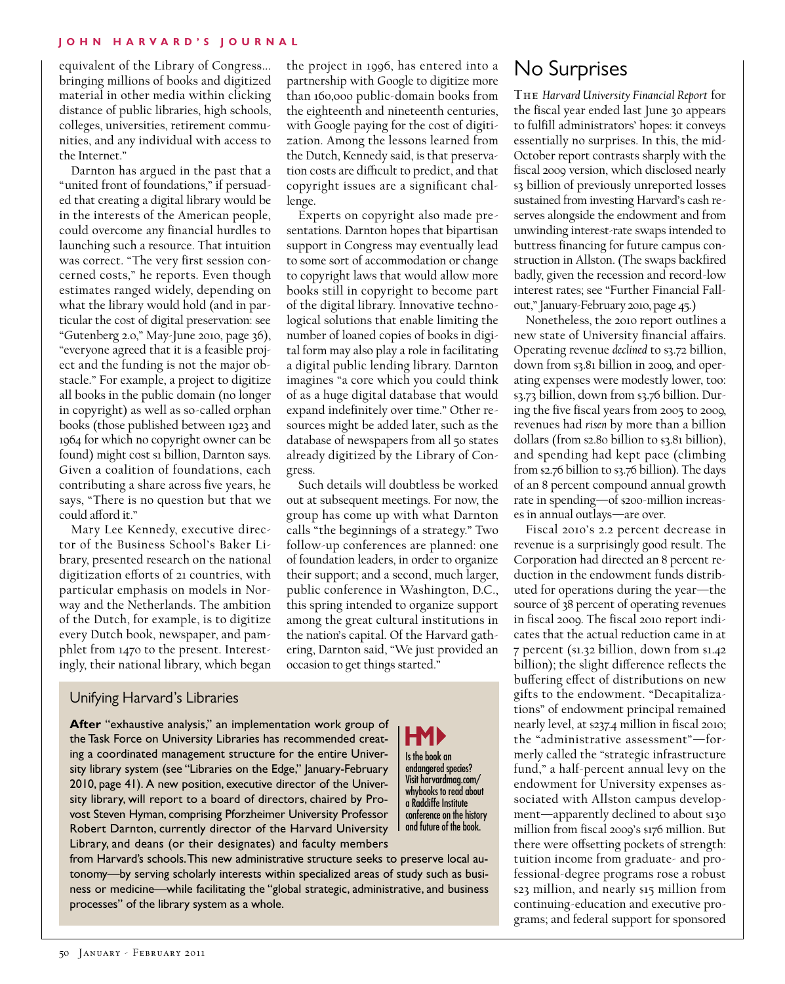equivalent of the Library of Congress... bringing millions of books and digitized material in other media within clicking distance of public libraries, high schools, colleges, universities, retirement communities, and any individual with access to the Internet."

Darnton has argued in the past that a "united front of foundations," if persuaded that creating a digital library would be in the interests of the American people, could overcome any financial hurdles to launching such a resource. That intuition was correct. "The very first session concerned costs," he reports. Even though estimates ranged widely, depending on what the library would hold (and in particular the cost of digital preservation: see "Gutenberg 2.0," May-June 2010, page 36), "everyone agreed that it is a feasible project and the funding is not the major obstacle." For example, a project to digitize all books in the public domain (no longer in copyright) as well as so-called orphan books (those published between 1923 and 1964 for which no copyright owner can be found) might cost si billion, Darnton says. Given a coalition of foundations, each contributing a share across five years, he says, "There is no question but that we could afford it."

Mary Lee Kennedy, executive director of the Business School's Baker Library, presented research on the national digitization efforts of 21 countries, with particular emphasis on models in Norway and the Netherlands. The ambition of the Dutch, for example, is to digitize every Dutch book, newspaper, and pamphlet from 1470 to the present. Interestingly, their national library, which began

the project in 1996, has entered into a partnership with Google to digitize more than 160,000 public-domain books from the eighteenth and nineteenth centuries, with Google paying for the cost of digitization. Among the lessons learned from the Dutch, Kennedy said, is that preservation costs are difficult to predict, and that copyright issues are a significant challenge.

Experts on copyright also made presentations. Darnton hopes that bipartisan support in Congress may eventually lead to some sort of accommodation or change to copyright laws that would allow more books still in copyright to become part of the digital library. Innovative technological solutions that enable limiting the number of loaned copies of books in digital form may also play a role in facilitating a digital public lending library. Darnton imagines "a core which you could think of as a huge digital database that would expand indefinitely over time." Other resources might be added later, such as the database of newspapers from all 50 states already digitized by the Library of Congress.

Such details will doubtless be worked out at subsequent meetings. For now, the group has come up with what Darnton calls "the beginnings of a strategy." Two follow-up conferences are planned: one of foundation leaders, in order to organize their support; and a second, much larger, public conference in Washington, D.C., this spring intended to organize support among the great cultural institutions in the nation's capital. Of the Harvard gathering, Darnton said, "We just provided an occasion to get things started."

> Is the book an endangered species? Visit harvardmag.com/ whybooks to read about a Radcliffe Institute conference on the history and future of the book.

HMP

## Unifying Harvard's Libraries

**After** "exhaustive analysis," an implementation work group of the Task Force on University Libraries has recommended creating a coordinated management structure for the entire University library system (see "Libraries on the Edge," January-February 2010, page 41). A new position, executive director of the University library, will report to a board of directors, chaired by Provost Steven Hyman, comprising Pforzheimer University Professor Robert Darnton, currently director of the Harvard University Library, and deans (or their designates) and faculty members

from Harvard's schools. This new administrative structure seeks to preserve local autonomy—by serving scholarly interests within specialized areas of study such as business or medicine—while facilitating the "global strategic, administrative, and business processes" of the library system as a whole.

## No Surprises

The *Harvard University Financial Report* for the fiscal year ended last June 30 appears to fulfill administrators' hopes: it conveys essentially no surprises. In this, the mid-October report contrasts sharply with the fiscal 2009 version, which disclosed nearly \$3 billion of previously unreported losses sustained from investing Harvard's cash reserves alongside the endowment and from unwinding interest-rate swaps intended to buttress financing for future campus construction in Allston. (The swaps backfired badly, given the recession and record-low interest rates; see "Further Financial Fallout," January-February 2010, page 45.)

Nonetheless, the 2010 report outlines a new state of University financial affairs. Operating revenue *declined* to \$3.72 billion, down from \$3.81 billion in 2009, and operating expenses were modestly lower, too: \$3.73 billion, down from \$3.76 billion. During the five fiscal years from 2005 to 2009, revenues had *risen* by more than a billion dollars (from \$2.80 billion to \$3.81 billion), and spending had kept pace (climbing from \$2.76 billion to \$3.76 billion). The days of an 8 percent compound annual growth rate in spending—of \$200-million increases in annual outlays—are over.

Fiscal 2010's 2.2 percent decrease in revenue is a surprisingly good result. The Corporation had directed an 8 percent reduction in the endowment funds distributed for operations during the year—the source of 38 percent of operating revenues in fiscal 2009. The fiscal 2010 report indicates that the actual reduction came in at 7 percent (\$1.32 billion, down from \$1.42 billion); the slight difference reflects the buffering effect of distributions on new gifts to the endowment. "Decapitalizations" of endowment principal remained nearly level, at \$237.4 million in fiscal 2010; the "administrative assessment"—formerly called the "strategic infrastructure fund," a half-percent annual levy on the endowment for University expenses associated with Allston campus development—apparently declined to about \$130 million from fiscal 2009's \$176 million. But there were offsetting pockets of strength: tuition income from graduate- and professional-degree programs rose a robust \$23 million, and nearly \$15 million from continuing-education and executive programs; and federal support for sponsored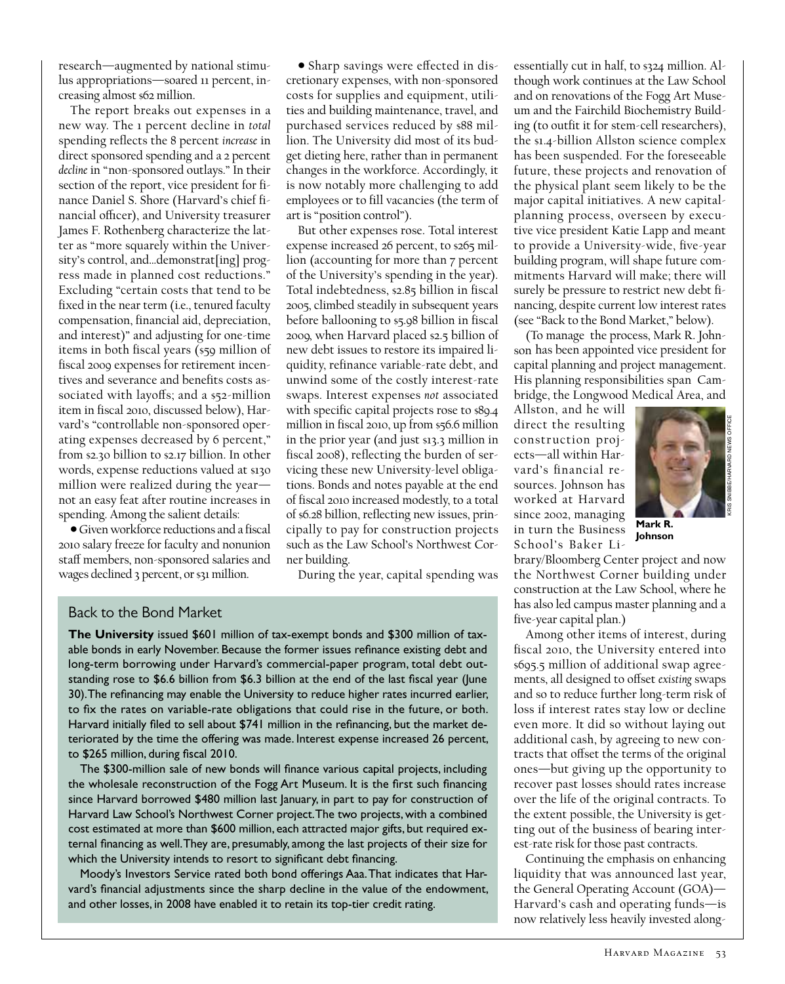research—augmented by national stimulus appropriations—soared 11 percent, increasing almost \$62 million.

The report breaks out expenses in a new way. The 1 percent decline in *total* spending reflects the 8 percent *increase* in direct sponsored spending and a 2 percent *decline* in "non-sponsored outlays." In their section of the report, vice president for finance Daniel S. Shore (Harvard's chief financial officer), and University treasurer James F. Rothenberg characterize the latter as "more squarely within the University's control, and…demonstrat[ing] progress made in planned cost reductions." Excluding "certain costs that tend to be fixed in the near term (i.e., tenured faculty compensation, financial aid, depreciation, and interest)" and adjusting for one-time items in both fiscal years (\$59 million of fiscal 2009 expenses for retirement incentives and severance and benefits costs associated with layoffs; and a \$52-million item in fiscal 2010, discussed below), Harvard's "controllable non-sponsored operating expenses decreased by 6 percent," from \$2.30 billion to \$2.17 billion. In other words, expense reductions valued at \$130 million were realized during the year not an easy feat after routine increases in spending. Among the salient details:

• Given workforce reductions and a fiscal 2010 salary freeze for faculty and nonunion staff members, non-sponsored salaries and wages declined 3 percent, or \$31 million.

• Sharp savings were effected in discretionary expenses, with non-sponsored costs for supplies and equipment, utilities and building maintenance, travel, and purchased services reduced by \$88 million. The University did most of its budget dieting here, rather than in permanent changes in the workforce. Accordingly, it is now notably more challenging to add employees or to fill vacancies (the term of art is "position control").

But other expenses rose. Total interest expense increased 26 percent, to \$265 million (accounting for more than 7 percent of the University's spending in the year). Total indebtedness, \$2.85 billion in fiscal 2005, climbed steadily in subsequent years before ballooning to \$5.98 billion in fiscal 2009, when Harvard placed \$2.5 billion of new debt issues to restore its impaired liquidity, refinance variable-rate debt, and unwind some of the costly interest-rate swaps. Interest expenses *not* associated with specific capital projects rose to \$89.4 million in fiscal 2010, up from \$56.6 million in the prior year (and just \$13.3 million in fiscal 2008), reflecting the burden of servicing these new University-level obligations. Bonds and notes payable at the end of fiscal 2010 increased modestly, to a total of \$6.28 billion, reflecting new issues, principally to pay for construction projects such as the Law School's Northwest Corner building.

During the year, capital spending was

## Back to the Bond Market

**The University** issued \$601 million of tax-exempt bonds and \$300 million of taxable bonds in early November. Because the former issues refinance existing debt and long-term borrowing under Harvard's commercial-paper program, total debt outstanding rose to \$6.6 billion from \$6.3 billion at the end of the last fiscal year (June 30). The refinancing may enable the University to reduce higher rates incurred earlier, to fix the rates on variable-rate obligations that could rise in the future, or both. Harvard initially filed to sell about \$741 million in the refinancing, but the market deteriorated by the time the offering was made. Interest expense increased 26 percent, to \$265 million, during fiscal 2010.

The \$300-million sale of new bonds will finance various capital projects, including the wholesale reconstruction of the Fogg Art Museum. It is the first such financing since Harvard borrowed \$480 million last January, in part to pay for construction of Harvard Law School's Northwest Corner project. The two projects, with a combined cost estimated at more than \$600 million, each attracted major gifts, but required external financing as well. They are, presumably, among the last projects of their size for which the University intends to resort to significant debt financing.

Moody's Investors Service rated both bond offerings Aaa. That indicates that Harvard's financial adjustments since the sharp decline in the value of the endowment, and other losses, in 2008 have enabled it to retain its top-tier credit rating.

essentially cut in half, to \$324 million. Although work continues at the Law School and on renovations of the Fogg Art Museum and the Fairchild Biochemistry Building (to outfit it for stem-cell researchers), the \$1.4-billion Allston science complex has been suspended. For the foreseeable future, these projects and renovation of the physical plant seem likely to be the major capital initiatives. A new capitalplanning process, overseen by executive vice president Katie Lapp and meant to provide a University-wide, five-year building program, will shape future commitments Harvard will make; there will surely be pressure to restrict new debt financing, despite current low interest rates (see "Back to the Bond Market," below).

(To manage the process, Mark R. Johnson has been appointed vice president for capital planning and project management. His planning responsibilities span Cambridge, the Longwood Medical Area, and

Allston, and he will direct the resulting construction projects—all within Harvard's financial resources. Johnson has worked at Harvard since 2002, managing in turn the Business School's Baker Li-



**Mark R. Johnson**

brary/Bloomberg Center project and now the Northwest Corner building under construction at the Law School, where he has also led campus master planning and a five-year capital plan.)

Among other items of interest, during fiscal 2010, the University entered into \$695.5 million of additional swap agreements, all designed to offset *existing* swaps and so to reduce further long-term risk of loss if interest rates stay low or decline even more. It did so without laying out additional cash, by agreeing to new contracts that offset the terms of the original ones—but giving up the opportunity to recover past losses should rates increase over the life of the original contracts. To the extent possible, the University is getting out of the business of bearing interest-rate risk for those past contracts.

Continuing the emphasis on enhancing liquidity that was announced last year, the General Operating Account (GOA)— Harvard's cash and operating funds—is now relatively less heavily invested along-